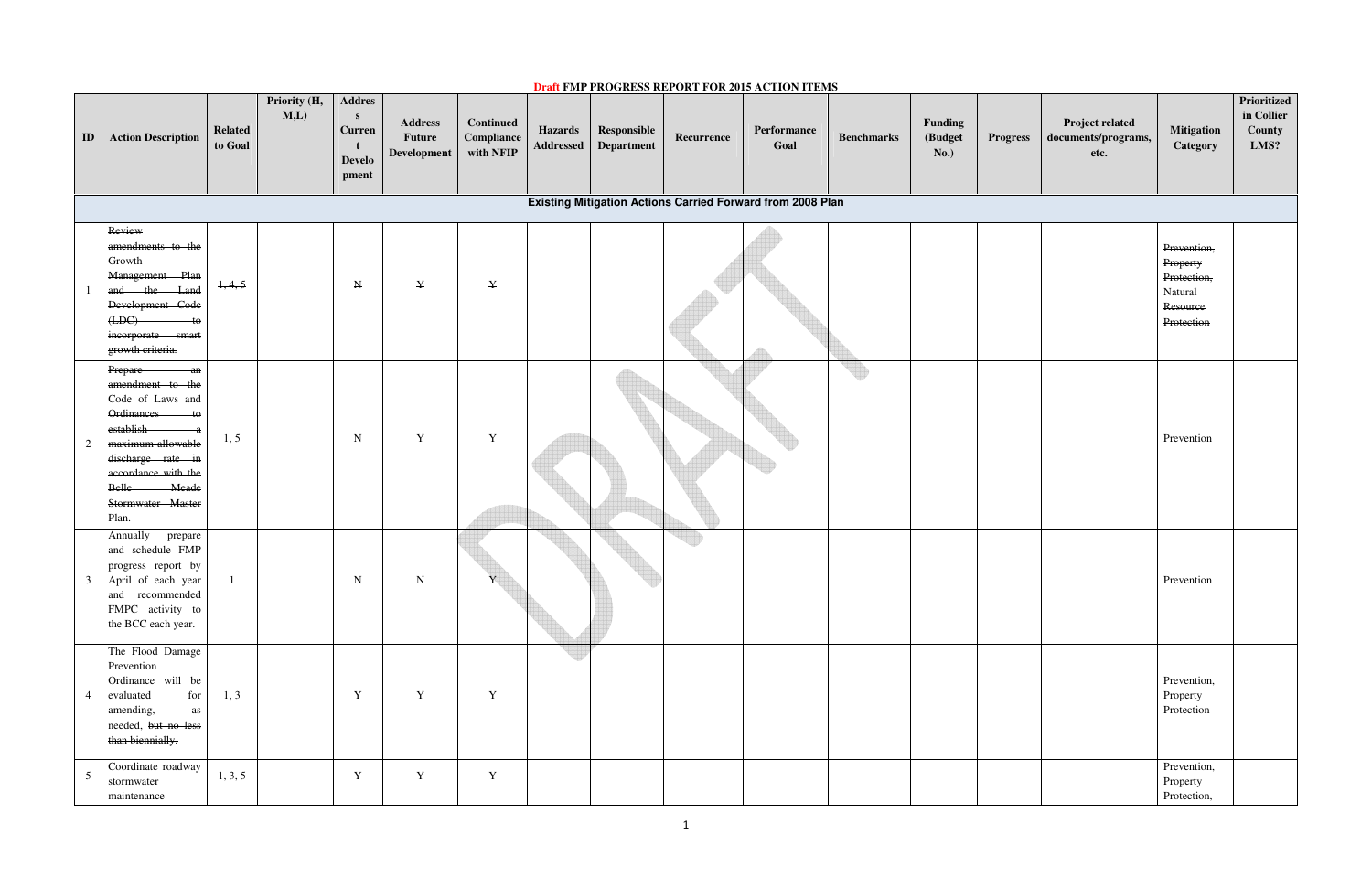1

|                 |                                                                                                                                                                                                                            |                           |                     |                                                               |                                         |                                                    |                             |                           |            | <b>Draft FMP PROGRESS REPORT FOR 2015 ACTION ITEMS</b>            |                   |                                   |                 |                                                       |                                                                             |                                             |
|-----------------|----------------------------------------------------------------------------------------------------------------------------------------------------------------------------------------------------------------------------|---------------------------|---------------------|---------------------------------------------------------------|-----------------------------------------|----------------------------------------------------|-----------------------------|---------------------------|------------|-------------------------------------------------------------------|-------------------|-----------------------------------|-----------------|-------------------------------------------------------|-----------------------------------------------------------------------------|---------------------------------------------|
| $\blacksquare$  | <b>Action Description</b>                                                                                                                                                                                                  | <b>Related</b><br>to Goal | Priority (H,<br>M,L | <b>Addres</b><br>S<br><b>Curren</b><br><b>Develo</b><br>pment | <b>Address</b><br>Future<br>Development | <b>Continued</b><br><b>Compliance</b><br>with NFIP | <b>Hazards</b><br>Addressed | Responsible<br>Department | Recurrence | Performance<br>Goal                                               | <b>Benchmarks</b> | Funding<br>(Budget<br><b>No.)</b> | <b>Progress</b> | <b>Project related</b><br>documents/programs,<br>etc. | <b>Mitigation</b><br>Category                                               | Prioritized<br>in Collier<br>County<br>LMS? |
|                 |                                                                                                                                                                                                                            |                           |                     |                                                               |                                         |                                                    |                             |                           |            | <b>Existing Mitigation Actions Carried Forward from 2008 Plan</b> |                   |                                   |                 |                                                       |                                                                             |                                             |
|                 | Review<br>amendments to the<br>Growth<br>Management Plan<br>and the Land<br>Development Code<br>(LDC)<br>$-$ to<br>incorporate smart<br>growth criteria.                                                                   | 1, 4, 5                   |                     | $N_{\rm}$                                                     | $\mathbf{{Y}}$                          | $\mathbf{{Y}}$                                     |                             |                           |            |                                                                   |                   |                                   |                 |                                                       | Prevention,<br>Property<br>Protection,<br>Natural<br>Resource<br>Protection |                                             |
| 2               | Prepare<br>$-\operatorname{an}$<br>amendment to the<br>Code of Laws and<br>Ordinances<br>$-$ to<br>establish<br>maximum allowable<br>discharge rate in<br>accordance with the<br>Belle Meade<br>Stormwater Master<br>Plan. | 1, 5                      |                     | $\mathbf N$                                                   | $\mathbf Y$                             | $\mathbf Y$                                        |                             |                           |            |                                                                   |                   |                                   |                 |                                                       | Prevention                                                                  |                                             |
| $\mathfrak{Z}$  | Annually<br>prepare<br>and schedule FMP<br>progress report by<br>April of each year<br>and recommended<br>FMPC activity to<br>the BCC each year.                                                                           |                           |                     | N                                                             | $\mathbf N$                             |                                                    |                             |                           |            |                                                                   |                   |                                   |                 |                                                       | Prevention                                                                  |                                             |
| $\overline{4}$  | The Flood Damage<br>Prevention<br>Ordinance will be<br>evaluated<br>for<br>amending,<br>as<br>needed, but no less<br>than biennially.                                                                                      | 1, 3                      |                     | Y                                                             | $\mathbf Y$                             | $\mathbf Y$                                        |                             |                           |            |                                                                   |                   |                                   |                 |                                                       | Prevention,<br>Property<br>Protection                                       |                                             |
| $5\overline{)}$ | Coordinate roadway<br>stormwater<br>maintenance                                                                                                                                                                            | 1, 3, 5                   |                     | $\mathbf Y$                                                   | $\mathbf Y$                             | $\mathbf Y$                                        |                             |                           |            |                                                                   |                   |                                   |                 |                                                       | Prevention,<br>Property<br>Protection,                                      |                                             |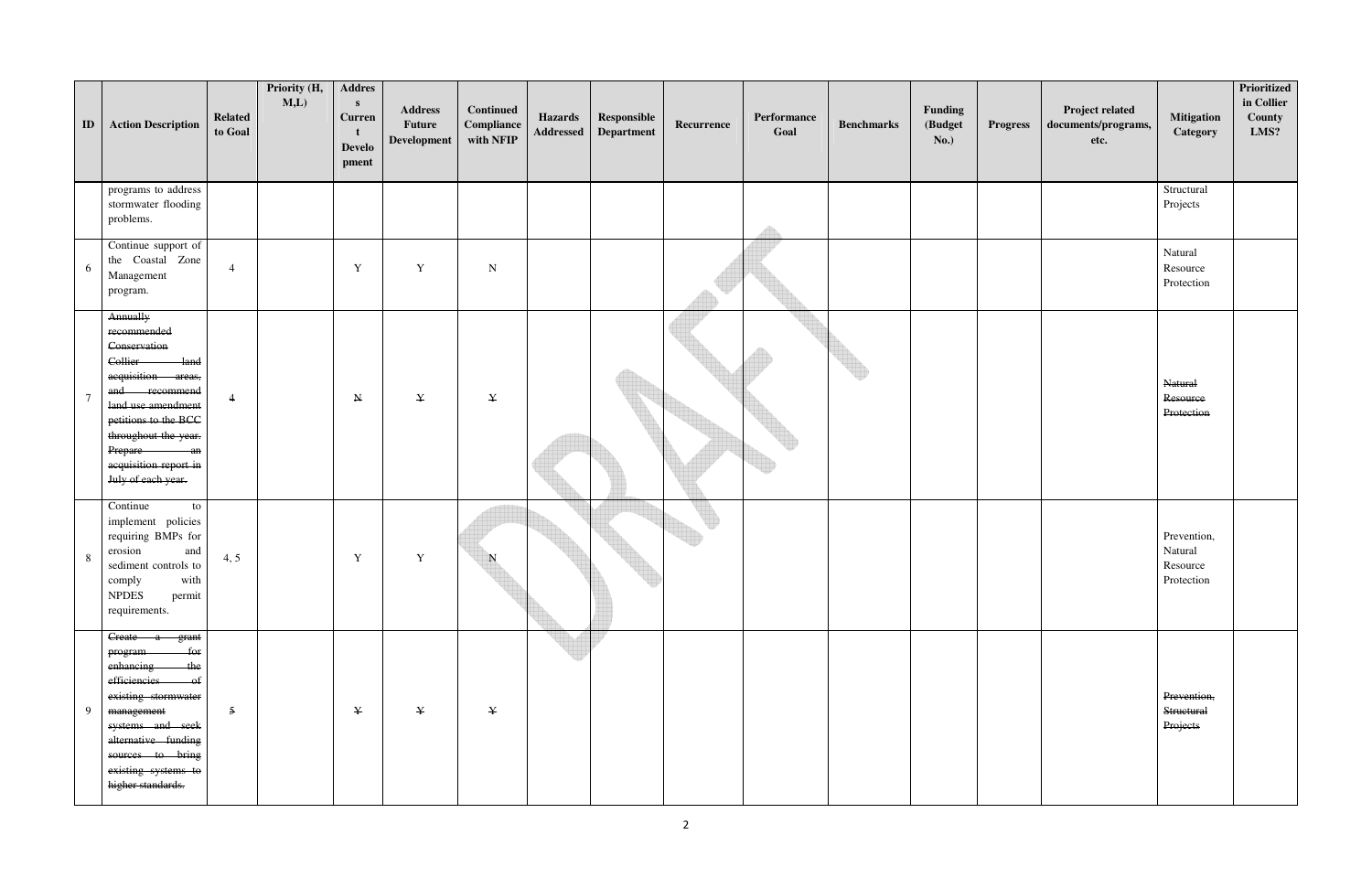| ID             | <b>Action Description</b>                                                                                                                                                                                                                | <b>Related</b><br>to Goal | Priority (H,<br>M,L | <b>Addres</b><br>$\mathbf{s}$<br><b>Curren</b><br><b>Develo</b><br>pment | <b>Address</b><br>Future<br>Development | <b>Continued</b><br>Compliance<br>with NFIP | <b>Hazards</b><br>Addressed | Responsible<br>Department | Recurrence | Performance<br>Goal | <b>Benchmarks</b> | Funding<br>(Budget<br><b>No.)</b> | <b>Progress</b> | Project related<br>documents/programs,<br>etc. | <b>Mitigation</b><br>Category                    | Prioritized<br>in Collier<br>County<br>LMS? |
|----------------|------------------------------------------------------------------------------------------------------------------------------------------------------------------------------------------------------------------------------------------|---------------------------|---------------------|--------------------------------------------------------------------------|-----------------------------------------|---------------------------------------------|-----------------------------|---------------------------|------------|---------------------|-------------------|-----------------------------------|-----------------|------------------------------------------------|--------------------------------------------------|---------------------------------------------|
|                | programs to address<br>stormwater flooding<br>problems.                                                                                                                                                                                  |                           |                     |                                                                          |                                         |                                             |                             |                           |            |                     |                   |                                   |                 |                                                | Structural<br>Projects                           |                                             |
| 6              | Continue support of<br>the Coastal Zone<br>Management<br>program.                                                                                                                                                                        | $\overline{4}$            |                     | $\mathbf Y$                                                              | Y                                       | ${\bf N}$                                   |                             |                           |            |                     |                   |                                   |                 |                                                | Natural<br>Resource<br>Protection                |                                             |
| $\overline{7}$ | Annually<br>recommended<br>Conservation<br>$-land$<br>Collier<br>acquisition areas,<br>and recommend<br>land use amendment<br>petitions to the BCC<br>throughout the year.<br>Prepare an<br>acquisition report in<br>July of each year.  | $\overline{4}$            |                     | ${\bf N}$                                                                | $\mathbf{{Y}}$                          | $\mathbf{{Y}}$                              |                             |                           |            |                     |                   |                                   |                 |                                                | Natural<br>Resource<br>Protection                |                                             |
| 8              | Continue<br>to<br>implement policies<br>requiring BMPs for<br>erosion<br>and<br>sediment controls to<br>comply with<br><b>NPDES</b><br>permit<br>requirements.                                                                           | 4, 5                      |                     | $\mathbf Y$                                                              | Y                                       | N                                           |                             |                           |            |                     |                   |                                   |                 |                                                | Prevention,<br>Natural<br>Resource<br>Protection |                                             |
| 9              | Create a grant<br>$-$ for<br>program<br>enhancing-<br>the<br>efficiencies<br>$-\theta f$<br>existing stormwater<br>management<br>systems and seek<br>alternative funding<br>sources to bring<br>existing systems to<br>higher standards. | $\overline{5}$            |                     | ¥                                                                        | $\mathbf{{Y}}$                          | $\mathbf{Y}$                                |                             |                           |            |                     |                   |                                   |                 |                                                | Prevention,<br>Structural<br>Projects            |                                             |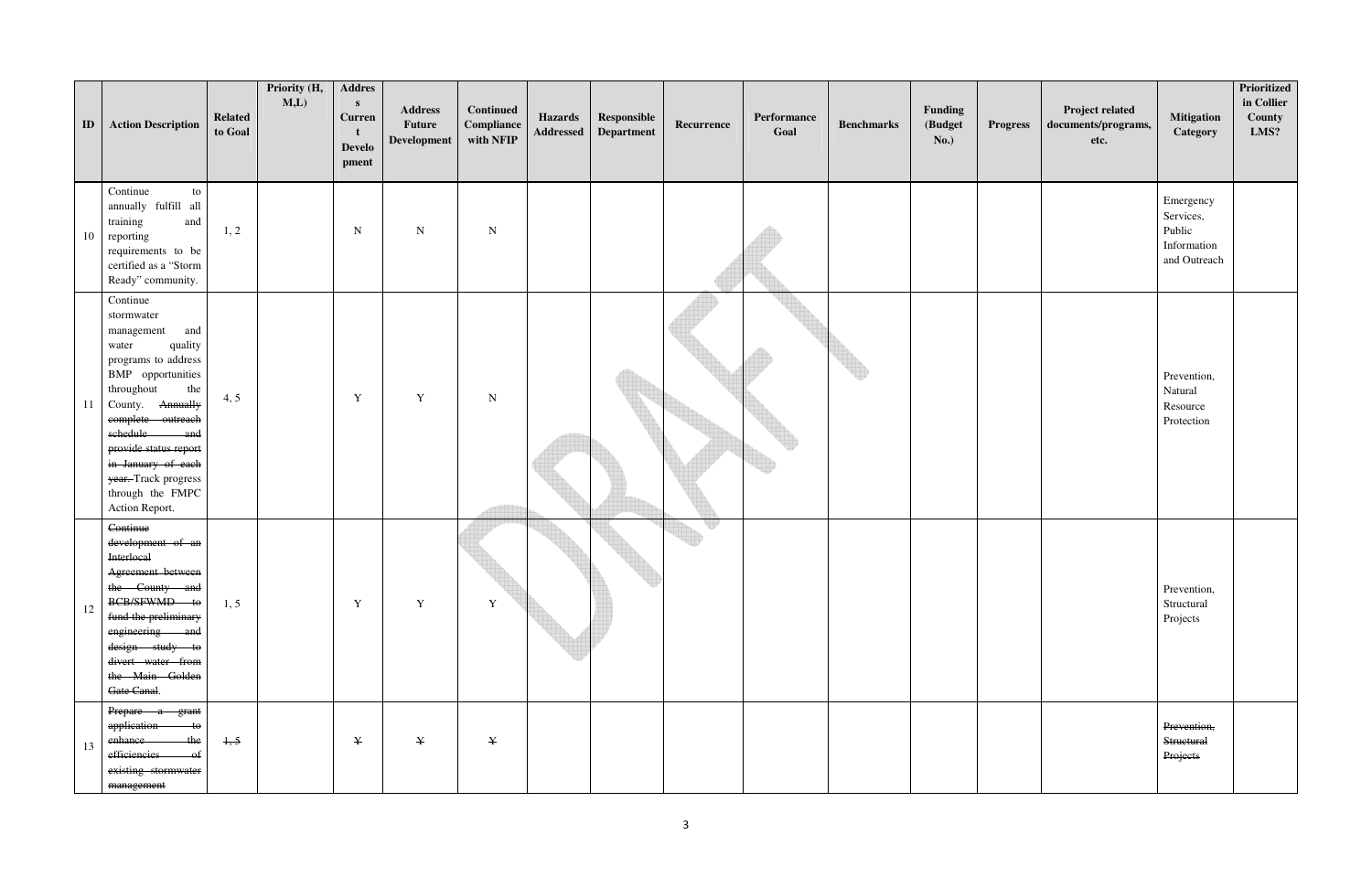| ID     | <b>Action Description</b>                                                                                                                                                                                                                                                                                 | <b>Related</b><br>to Goal | Priority (H,<br>M,L) | <b>Addres</b><br>S<br><b>Curren</b><br><b>Develo</b><br>pment | <b>Address</b><br><b>Future</b><br>Development | <b>Continued</b><br>Compliance<br>with NFIP | <b>Hazards</b><br>Addressed | Responsible<br>Department | Recurrence | Performance<br>Goal | <b>Benchmarks</b> | Funding<br>(Budget<br><b>No.)</b> | <b>Progress</b> | Project related<br>documents/programs,<br>etc. | <b>Mitigation</b><br>Category                                   | Prioritized<br>in Collier<br>County<br>LMS? |
|--------|-----------------------------------------------------------------------------------------------------------------------------------------------------------------------------------------------------------------------------------------------------------------------------------------------------------|---------------------------|----------------------|---------------------------------------------------------------|------------------------------------------------|---------------------------------------------|-----------------------------|---------------------------|------------|---------------------|-------------------|-----------------------------------|-----------------|------------------------------------------------|-----------------------------------------------------------------|---------------------------------------------|
| 10     | Continue<br>to<br>annually fulfill all<br>training<br>and<br>reporting<br>requirements to be<br>certified as a "Storm<br>Ready" community.                                                                                                                                                                | 1, 2                      |                      | ${\bf N}$                                                     | ${\bf N}$                                      | ${\bf N}$                                   |                             |                           |            |                     |                   |                                   |                 |                                                | Emergency<br>Services,<br>Public<br>Information<br>and Outreach |                                             |
| 11     | Continue<br>stormwater<br>and<br>management<br>quality<br>water<br>programs to address<br>BMP opportunities<br>throughout<br>the<br>County. Annually<br>complete outreach<br>schedule<br>and<br>provide status report<br>in January of each<br>year. Track progress<br>through the FMPC<br>Action Report. | 4, 5                      |                      | $\mathbf Y$                                                   | $\mathbf Y$                                    | ${\bf N}$                                   |                             |                           |            |                     |                   |                                   |                 |                                                | Prevention,<br>Natural<br>Resource<br>Protection                |                                             |
| $12\,$ | Continue<br>development of an<br><b>Interlocal</b><br>Agreement between<br>the County and<br>BCB/SFWMD to<br>fund the preliminary<br>engineering and<br>design study to<br>divert water from<br>the Main Golden<br>Gate Canal.                                                                            | 1, 5                      |                      | $\mathbf Y$                                                   | Y                                              | Y                                           |                             |                           | w          |                     |                   |                                   |                 |                                                | Prevention,<br>Structural<br>Projects                           |                                             |
| 13     | Prepare a grant<br>application to<br>-the<br>enhance-<br>efficiencies<br>$-$ of<br>existing stormwater<br>management                                                                                                                                                                                      | 1, 5                      |                      | $\mathbf Y$                                                   | $\mathbf{{Y}}$                                 | $\mathbf{{Y}}$                              |                             |                           |            |                     |                   |                                   |                 |                                                | Prevention,<br>Structural<br>Projects                           |                                             |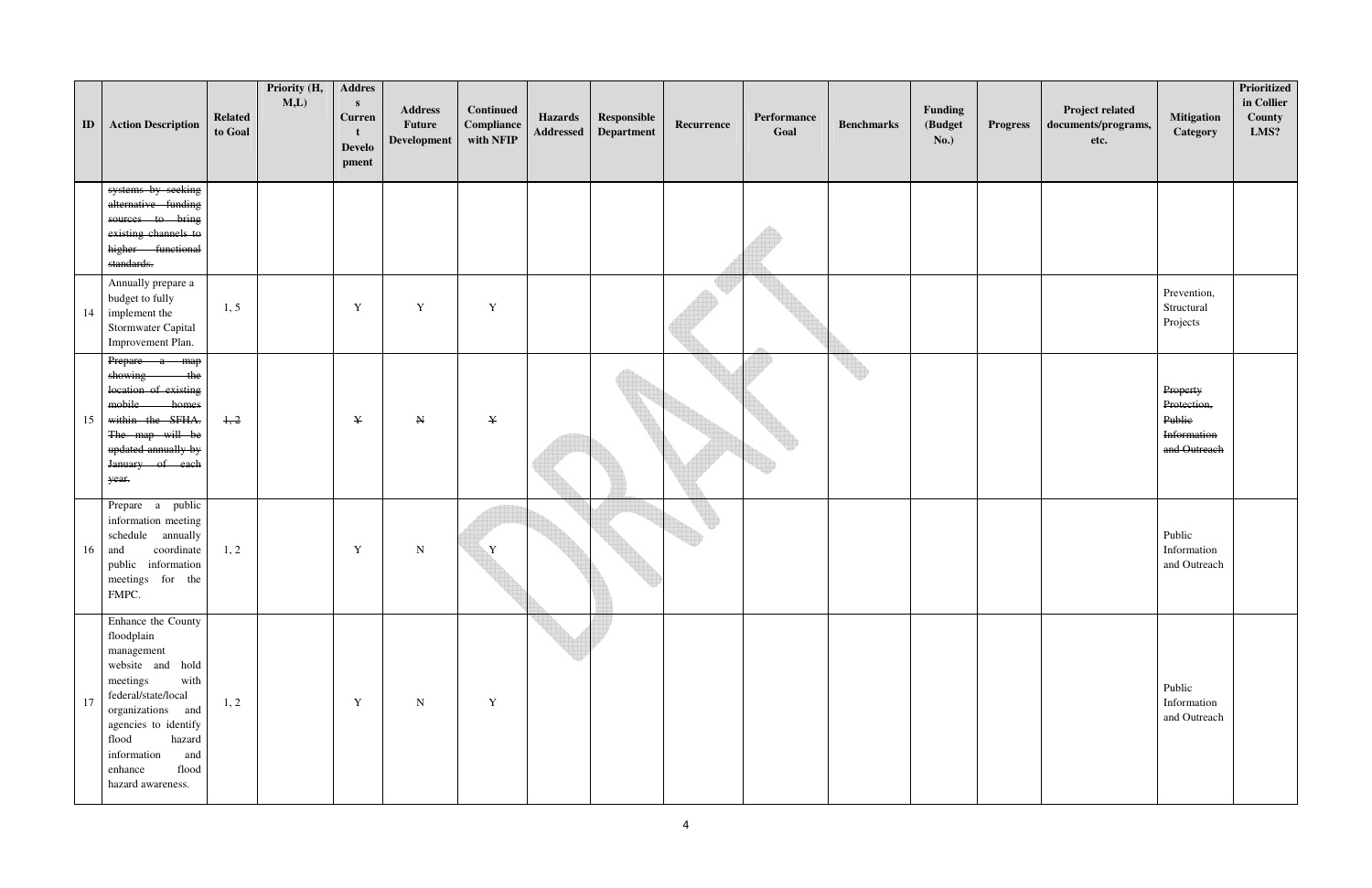| ID | <b>Action Description</b>                                                                                                                                                                                                                    | <b>Related</b><br>to Goal | Priority (H,<br>M,L | <b>Addres</b><br>$\mathbf{s}$<br><b>Curren</b><br><b>Develo</b><br>pment | <b>Address</b><br>Future<br>Development | Continued<br>Compliance<br>with NFIP | <b>Hazards</b><br>Addressed | Responsible<br>Department | Recurrence | Performance<br>Goal | <b>Benchmarks</b> | Funding<br>(Budget<br><b>No.)</b> | <b>Progress</b> | Project related<br>documents/programs,<br>etc. | <b>Mitigation</b><br>Category                                    | Prioritized<br>in Collier<br>County<br>LMS? |
|----|----------------------------------------------------------------------------------------------------------------------------------------------------------------------------------------------------------------------------------------------|---------------------------|---------------------|--------------------------------------------------------------------------|-----------------------------------------|--------------------------------------|-----------------------------|---------------------------|------------|---------------------|-------------------|-----------------------------------|-----------------|------------------------------------------------|------------------------------------------------------------------|---------------------------------------------|
|    | systems by seeking<br>alternative funding<br>sources to bring<br>existing channels to<br>higher functional<br>standards.                                                                                                                     |                           |                     |                                                                          |                                         |                                      |                             |                           |            |                     |                   |                                   |                 |                                                |                                                                  |                                             |
| 14 | Annually prepare a<br>budget to fully<br>implement the<br>Stormwater Capital<br>Improvement Plan.                                                                                                                                            | 1, 5                      |                     | $\mathbf Y$                                                              | Y                                       | $\mathbf Y$                          |                             |                           |            |                     |                   |                                   |                 |                                                | Prevention,<br>Structural<br>Projects                            |                                             |
| 15 | Prepare a map<br>showing<br>the<br>location of existing<br>mobile homes<br>within the SFHA.<br>The map will be<br>updated annually by<br>January of each<br>year.                                                                            | 1, 2                      |                     | $\mathbf{Y}$                                                             | $\mathbf N$                             | $\mathbf{{Y}}$                       |                             |                           |            |                     |                   |                                   |                 |                                                | Property<br>Protection,<br>Public<br>Information<br>and Outreach |                                             |
| 16 | Prepare a public<br>information meeting<br>schedule annually<br>coordinate<br>and<br>public information<br>meetings for the<br>FMPC.                                                                                                         | 1, 2                      |                     | $\mathbf Y$                                                              | ${\bf N}$                               | Y                                    |                             |                           |            |                     |                   |                                   |                 |                                                | Public<br>Information<br>and Outreach                            |                                             |
| 17 | Enhance the County<br>floodplain<br>management<br>website and hold<br>meetings<br>with<br>federal/state/local<br>organizations and<br>agencies to identify<br>flood<br>hazard<br>information<br>and<br>flood<br>enhance<br>hazard awareness. | 1, 2                      |                     | $\mathbf Y$                                                              | N                                       | Y                                    |                             |                           |            |                     |                   |                                   |                 |                                                | Public<br>Information<br>and Outreach                            |                                             |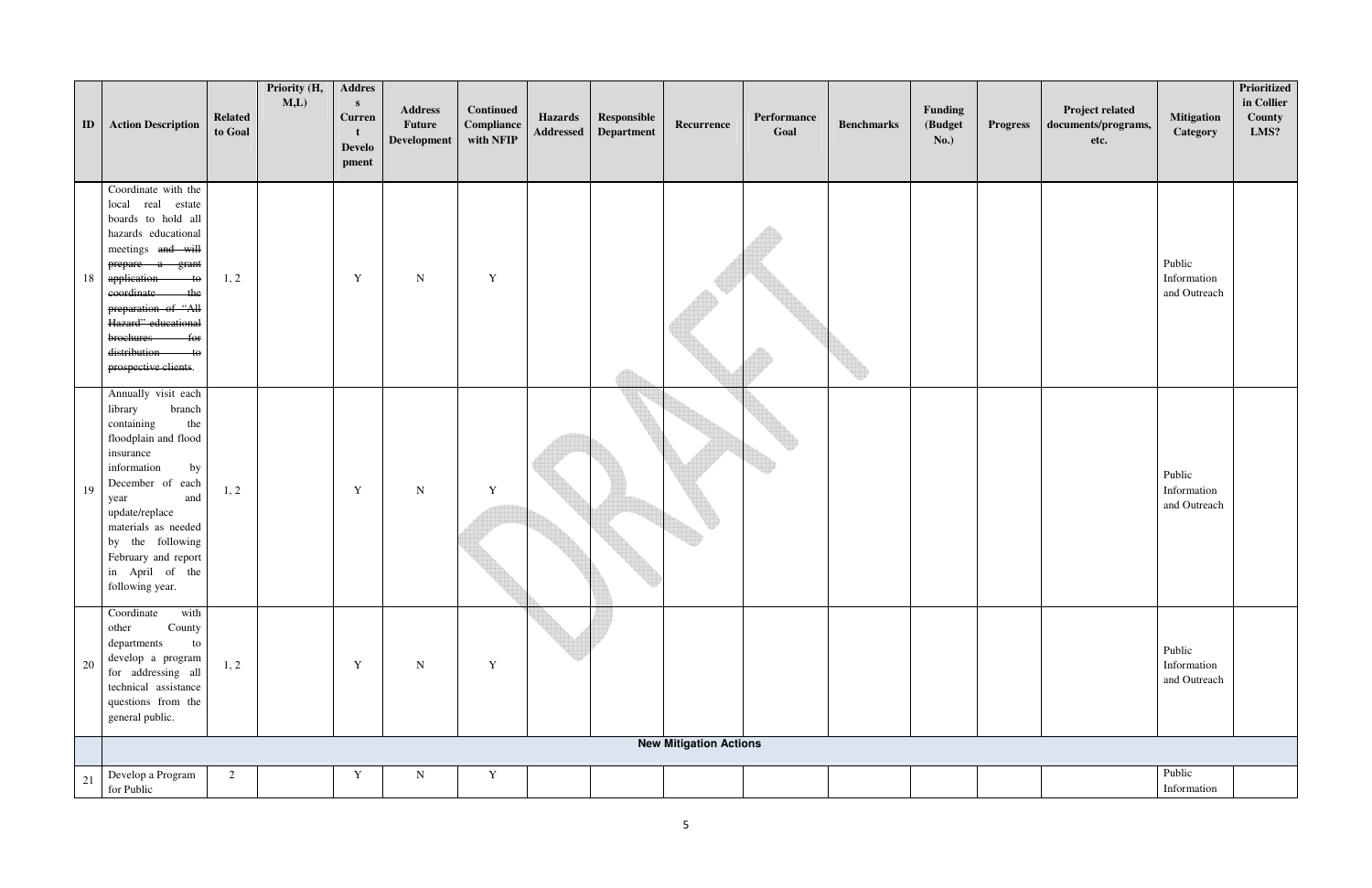| ID | <b>Action Description</b>                                                                                                                                                                                                                                                             | <b>Related</b><br>to Goal | Priority (H,<br>M,L | <b>Addres</b><br>S<br><b>Curren</b><br><b>Develo</b><br>pment | <b>Address</b><br><b>Future</b><br>Development | <b>Continued</b><br>Compliance<br>with NFIP | <b>Hazards</b><br>Addressed | Responsible<br>Department | Recurrence                    | Performance<br>Goal | <b>Benchmarks</b> | Funding<br>(Budget<br>No.) | <b>Progress</b> | Project related<br>documents/programs,<br>etc. | <b>Mitigation</b><br>Category         | Prioritized<br>in Collier<br>County<br>LMS? |
|----|---------------------------------------------------------------------------------------------------------------------------------------------------------------------------------------------------------------------------------------------------------------------------------------|---------------------------|---------------------|---------------------------------------------------------------|------------------------------------------------|---------------------------------------------|-----------------------------|---------------------------|-------------------------------|---------------------|-------------------|----------------------------|-----------------|------------------------------------------------|---------------------------------------|---------------------------------------------|
| 18 | Coordinate with the<br>local real estate<br>boards to hold all<br>hazards educational<br>meetings and will<br>prepare a grant<br>application to<br>eoordinate<br>the<br>preparation of "All<br>Hazard" educational<br>brochures<br>$-$ for<br>distribution to<br>prospective clients. | 1, 2                      |                     | $\mathbf Y$                                                   | ${\bf N}$                                      | $\mathbf Y$                                 |                             |                           |                               |                     |                   |                            |                 |                                                | Public<br>Information<br>and Outreach |                                             |
| 19 | Annually visit each<br>branch<br>library<br>containing<br>the<br>floodplain and flood<br>insurance<br>by<br>information<br>December of each<br>and<br>year<br>update/replace<br>materials as needed<br>by the following<br>February and report<br>in April of the<br>following year.  | 1, 2                      |                     | $\mathbf Y$                                                   | ${\bf N}$                                      | $\mathbf Y$                                 |                             | w                         |                               |                     |                   |                            |                 |                                                | Public<br>Information<br>and Outreach |                                             |
| 20 | Coordinate<br>with<br>County<br>other<br>departments<br>${\rm to}$<br>develop a program<br>for addressing all<br>technical assistance<br>questions from the<br>general public.                                                                                                        | 1, 2                      |                     | Y                                                             | N                                              | $\mathbf Y$                                 |                             |                           |                               |                     |                   |                            |                 |                                                | Public<br>Information<br>and Outreach |                                             |
|    |                                                                                                                                                                                                                                                                                       |                           |                     |                                                               |                                                |                                             |                             |                           | <b>New Mitigation Actions</b> |                     |                   |                            |                 |                                                |                                       |                                             |
| 21 | Develop a Program<br>for Public                                                                                                                                                                                                                                                       | 2                         |                     | $\mathbf Y$                                                   | ${\bf N}$                                      | $\mathbf Y$                                 |                             |                           |                               |                     |                   |                            |                 |                                                | Public<br>Information                 |                                             |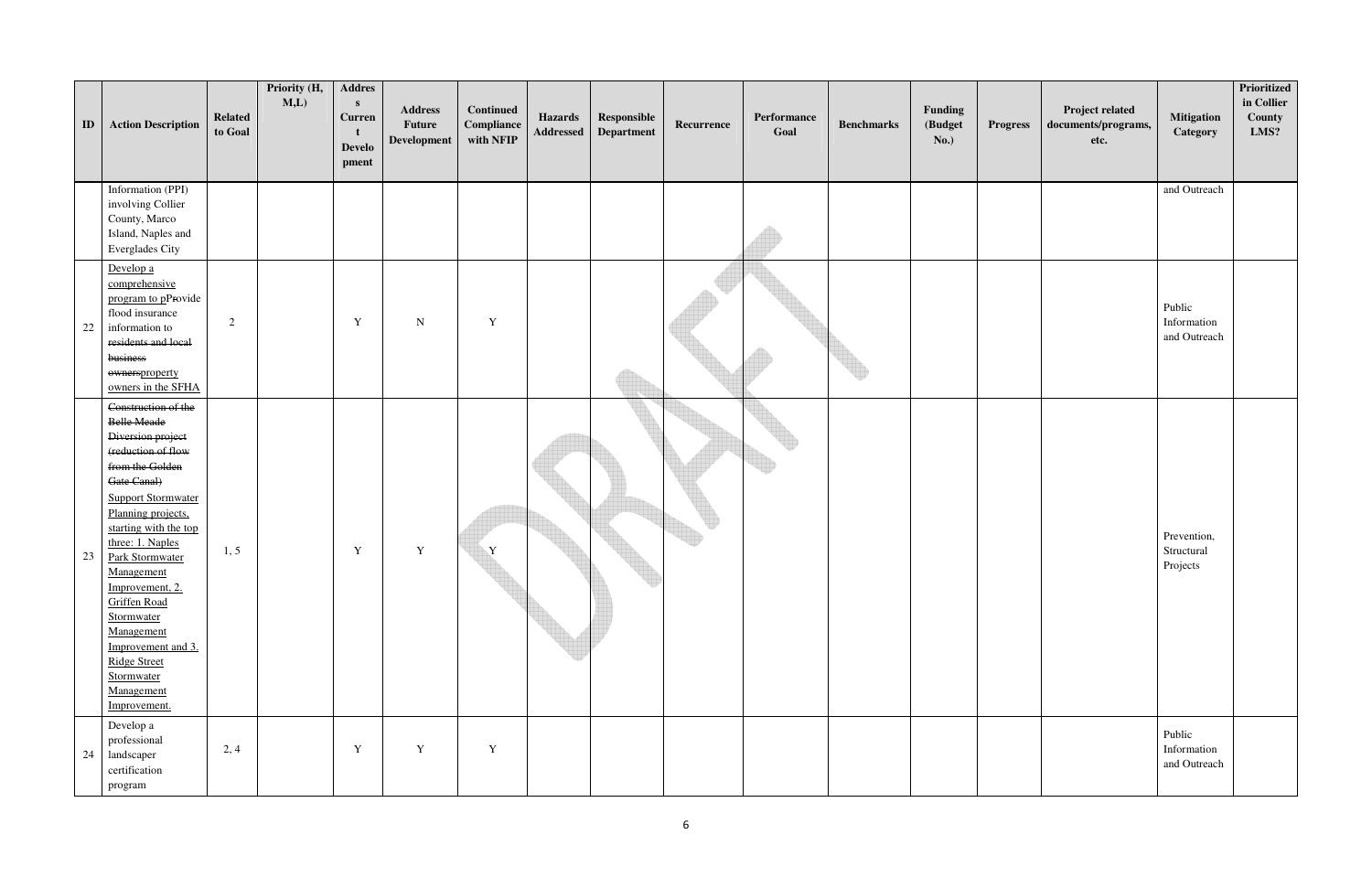| ID | <b>Action Description</b>                                                                                                                                                                                                                                                                                                                                                                                              | <b>Related</b><br>to Goal | Priority (H,<br>M,L | <b>Addres</b><br>$\mathbf{s}$<br><b>Curren</b><br><b>Develo</b><br>pment | <b>Address</b><br><b>Future</b><br>Development | <b>Continued</b><br>Compliance<br>with NFIP | <b>Hazards</b><br>Addressed | Responsible<br><b>Department</b> | Recurrence | Performance<br>Goal | <b>Benchmarks</b> | Funding<br>(Budget<br><b>No.)</b> | <b>Progress</b> | Project related<br>documents/programs,<br>etc. | <b>Mitigation</b><br>Category         | <b>Prioritized</b><br>in Collier<br>County<br>LMS? |
|----|------------------------------------------------------------------------------------------------------------------------------------------------------------------------------------------------------------------------------------------------------------------------------------------------------------------------------------------------------------------------------------------------------------------------|---------------------------|---------------------|--------------------------------------------------------------------------|------------------------------------------------|---------------------------------------------|-----------------------------|----------------------------------|------------|---------------------|-------------------|-----------------------------------|-----------------|------------------------------------------------|---------------------------------------|----------------------------------------------------|
|    | Information (PPI)<br>involving Collier<br>County, Marco<br>Island, Naples and<br>Everglades City                                                                                                                                                                                                                                                                                                                       |                           |                     |                                                                          |                                                |                                             |                             |                                  |            |                     |                   |                                   |                 |                                                | and Outreach                          |                                                    |
| 22 | Develop a<br>comprehensive<br>program to pProvide<br>flood insurance<br>information to<br>residents and local<br>business<br>ownersproperty<br>owners in the SFHA                                                                                                                                                                                                                                                      | 2                         |                     | $\mathbf Y$                                                              | N                                              | $\mathbf Y$                                 |                             |                                  |            |                     |                   |                                   |                 |                                                | Public<br>Information<br>and Outreach |                                                    |
| 23 | Construction of the<br><b>Belle Meade</b><br>Diversion project<br>(reduction of flow<br>from the Golden<br>Gate Canal)<br><b>Support Stormwater</b><br>Planning projects,<br>starting with the top<br>three: 1. Naples<br><b>Park Stormwater</b><br>Management<br>Improvement, 2.<br>Griffen Road<br>Stormwater<br>Management<br>Improvement and 3.<br><b>Ridge Street</b><br>Stormwater<br>Management<br>Improvement. | 1, 5                      |                     | Y                                                                        | $\mathbf Y$                                    | $\mathbf{Y}$                                |                             |                                  |            |                     |                   |                                   |                 |                                                | Prevention,<br>Structural<br>Projects |                                                    |
|    | Develop a<br>professional<br>24 landscaper<br>certification<br>program                                                                                                                                                                                                                                                                                                                                                 | 2, 4                      |                     | Y                                                                        | Y                                              | $\mathbf Y$                                 |                             |                                  |            |                     |                   |                                   |                 |                                                | Public<br>Information<br>and Outreach |                                                    |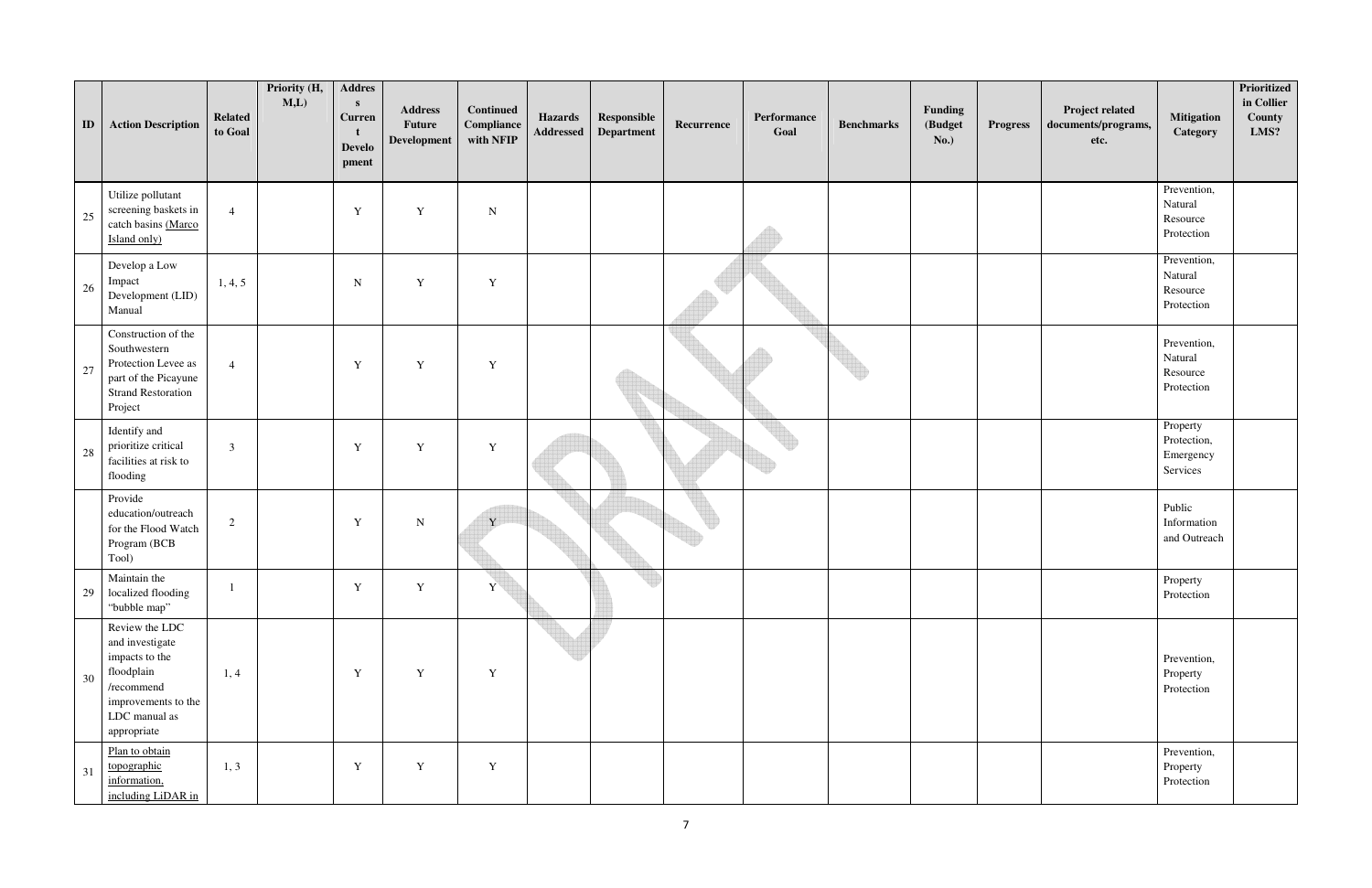| ID | <b>Action Description</b>                                                                                                              | <b>Related</b><br>to Goal | Priority (H,<br>M,L | <b>Addres</b><br>$\mathbf{s}$<br><b>Curren</b><br><b>Develo</b><br>pment | <b>Address</b><br>Future<br>Development | <b>Continued</b><br>Compliance<br>with NFIP | <b>Hazards</b><br><b>Addressed</b> | Responsible<br>Department | Recurrence | Performance<br>Goal | <b>Benchmarks</b> | Funding<br>(Budget<br>No.) | <b>Progress</b> | Project related<br>documents/programs,<br>etc. | <b>Mitigation</b><br>Category                    | Prioritized<br>in Collier<br>County<br>LMS? |
|----|----------------------------------------------------------------------------------------------------------------------------------------|---------------------------|---------------------|--------------------------------------------------------------------------|-----------------------------------------|---------------------------------------------|------------------------------------|---------------------------|------------|---------------------|-------------------|----------------------------|-----------------|------------------------------------------------|--------------------------------------------------|---------------------------------------------|
| 25 | Utilize pollutant<br>screening baskets in<br>catch basins (Marco<br>Island only)                                                       | $\overline{4}$            |                     | $\mathbf Y$                                                              | Y                                       | ${\bf N}$                                   |                                    |                           |            |                     |                   |                            |                 |                                                | Prevention,<br>Natural<br>Resource<br>Protection |                                             |
| 26 | Develop a Low<br>Impact<br>Development (LID)<br>Manual                                                                                 | 1, 4, 5                   |                     | ${\bf N}$                                                                | Y                                       | $\mathbf Y$                                 |                                    |                           |            |                     |                   |                            |                 |                                                | Prevention,<br>Natural<br>Resource<br>Protection |                                             |
| 27 | Construction of the<br>Southwestern<br>Protection Levee as<br>part of the Picayune<br><b>Strand Restoration</b><br>Project             | $\overline{4}$            |                     | $\mathbf Y$                                                              | $\mathbf Y$                             | $\mathbf Y$                                 |                                    |                           |            |                     |                   |                            |                 |                                                | Prevention,<br>Natural<br>Resource<br>Protection |                                             |
| 28 | Identify and<br>prioritize critical<br>facilities at risk to<br>flooding                                                               | $\overline{3}$            |                     | Y                                                                        | Y                                       | $\mathbf Y$                                 |                                    |                           |            |                     |                   |                            |                 |                                                | Property<br>Protection,<br>Emergency<br>Services |                                             |
|    | Provide<br>education/outreach<br>for the Flood Watch<br>Program (BCB<br>Tool)                                                          | 2                         |                     | $\mathbf Y$                                                              | ${\bf N}$                               | Y                                           |                                    |                           |            |                     |                   |                            |                 |                                                | Public<br>Information<br>and Outreach            |                                             |
| 29 | Maintain the<br>localized flooding<br>"bubble map"                                                                                     |                           |                     | Y                                                                        | $\mathbf Y$                             | Y                                           |                                    | w                         |            |                     |                   |                            |                 |                                                | Property<br>Protection                           |                                             |
| 30 | Review the LDC<br>and investigate<br>impacts to the<br>floodplain<br>/recommend<br>improvements to the<br>LDC manual as<br>appropriate | 1, 4                      |                     | $\mathbf Y$                                                              | $\mathbf Y$                             | $\mathbf Y$                                 |                                    |                           |            |                     |                   |                            |                 |                                                | Prevention,<br>Property<br>Protection            |                                             |
| 31 | Plan to obtain<br>topographic<br>information,<br>including LiDAR in                                                                    | 1, 3                      |                     | $\mathbf Y$                                                              | $\mathbf Y$                             | $\mathbf Y$                                 |                                    |                           |            |                     |                   |                            |                 |                                                | Prevention,<br>Property<br>Protection            |                                             |